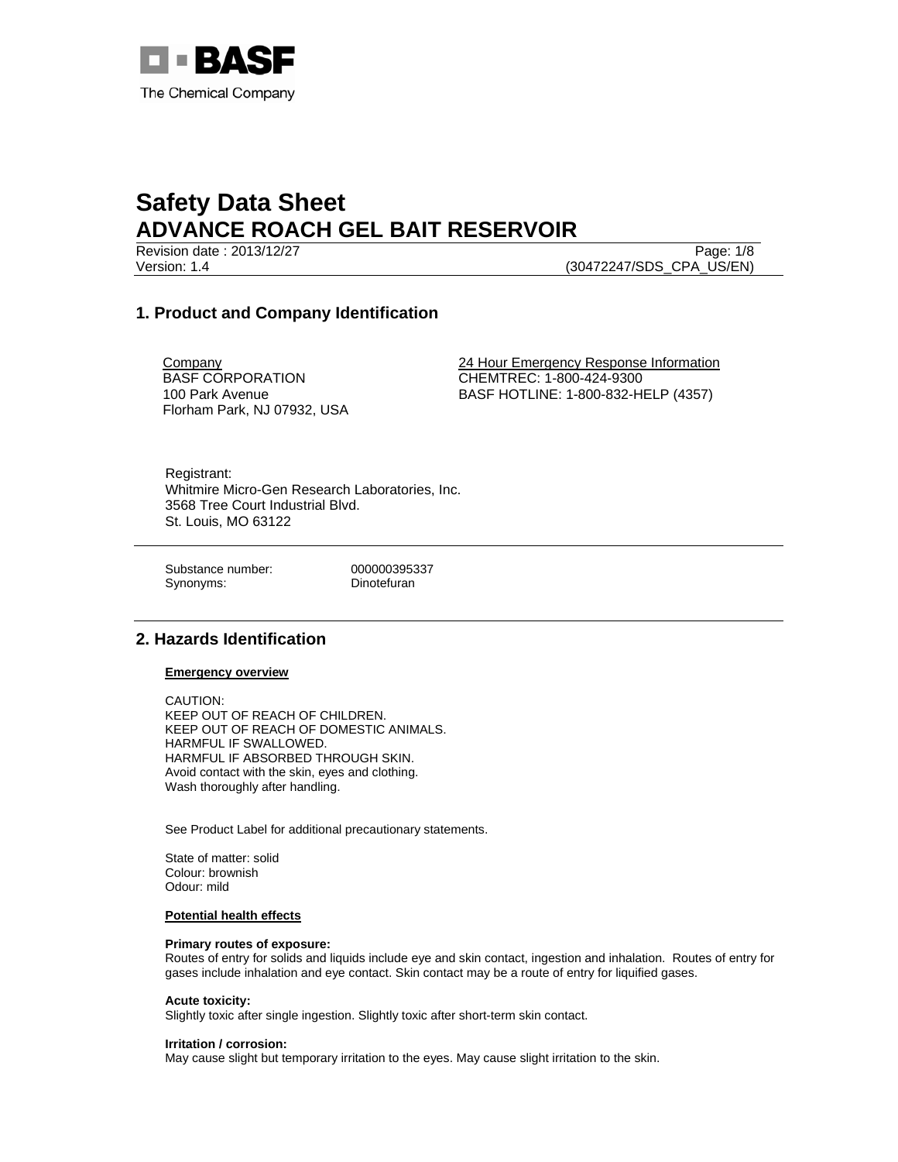

Version: 1.4 (30472247/SDS\_CPA\_US/EN)

Revision date : 2013/12/27 Page: 1/8

# **1. Product and Company Identification**

**Company** BASF CORPORATION 100 Park Avenue Florham Park, NJ 07932, USA 24 Hour Emergency Response Information CHEMTREC: 1-800-424-9300 BASF HOTLINE: 1-800-832-HELP (4357)

Registrant: Whitmire Micro-Gen Research Laboratories, Inc. 3568 Tree Court Industrial Blvd. St. Louis, MO 63122

Substance number: 000000395337 Synonyms: Dinotefuran

# **2. Hazards Identification**

## **Emergency overview**

CAUTION: KEEP OUT OF REACH OF CHILDREN. KEEP OUT OF REACH OF DOMESTIC ANIMALS. HARMFUL IF SWALLOWED. HARMFUL IF ABSORBED THROUGH SKIN. Avoid contact with the skin, eyes and clothing. Wash thoroughly after handling.

See Product Label for additional precautionary statements.

State of matter: solid Colour: brownish Odour: mild

## **Potential health effects**

#### **Primary routes of exposure:**

Routes of entry for solids and liquids include eye and skin contact, ingestion and inhalation. Routes of entry for gases include inhalation and eye contact. Skin contact may be a route of entry for liquified gases.

#### **Acute toxicity:**

Slightly toxic after single ingestion. Slightly toxic after short-term skin contact.

#### **Irritation / corrosion:**

May cause slight but temporary irritation to the eyes. May cause slight irritation to the skin.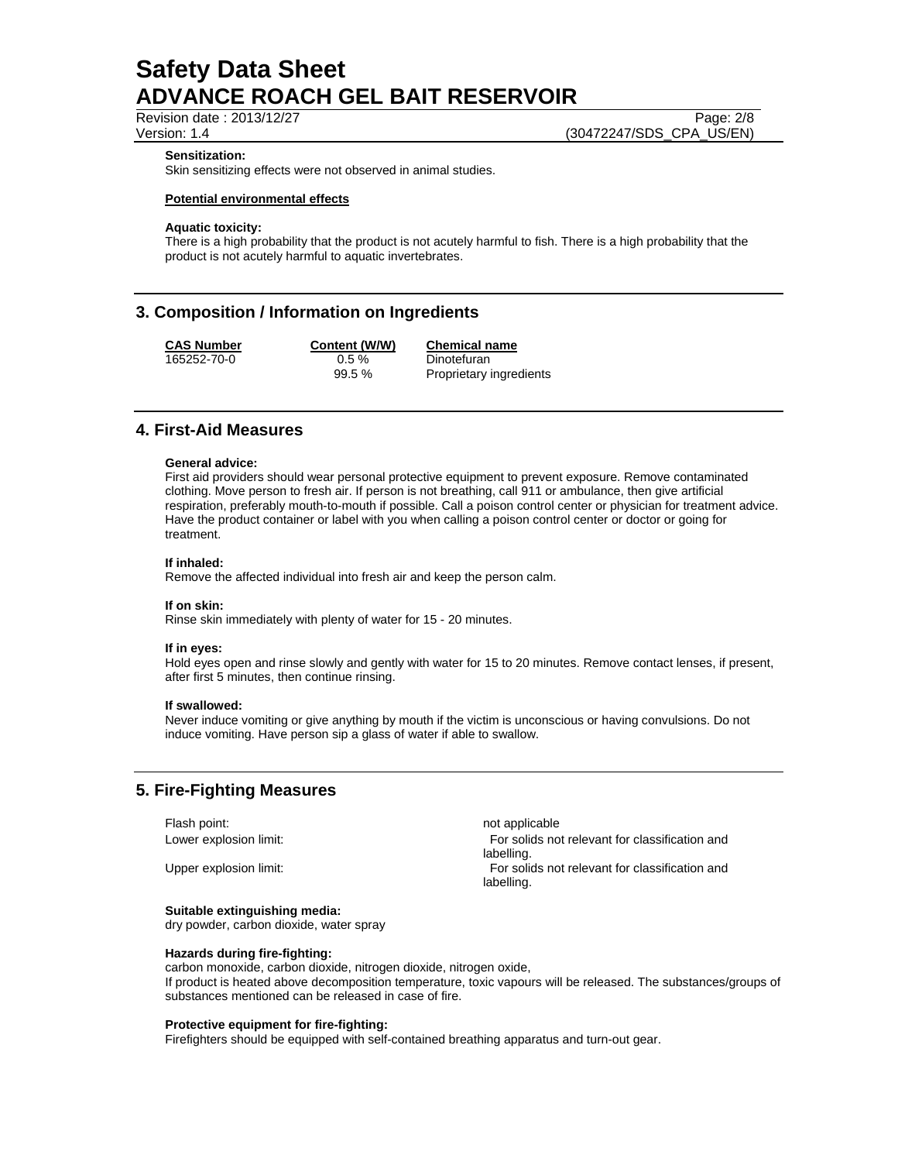Revision date : 2013/12/27 Page: 2/8

Version: 1.4 (30472247/SDS\_CPA\_US/EN)

#### **Sensitization:**

Skin sensitizing effects were not observed in animal studies.

## **Potential environmental effects**

## **Aquatic toxicity:**

There is a high probability that the product is not acutely harmful to fish. There is a high probability that the product is not acutely harmful to aquatic invertebrates.

## **3. Composition / Information on Ingredients**

| <b>CAS Number</b> | Content (W/W) | <b>Chemical name</b>    |
|-------------------|---------------|-------------------------|
| 165252-70-0       | $0.5 \%$      | Dinotefuran             |
|                   | 99.5%         | Proprietary ingredients |

## **4. First-Aid Measures**

#### **General advice:**

First aid providers should wear personal protective equipment to prevent exposure. Remove contaminated clothing. Move person to fresh air. If person is not breathing, call 911 or ambulance, then give artificial respiration, preferably mouth-to-mouth if possible. Call a poison control center or physician for treatment advice. Have the product container or label with you when calling a poison control center or doctor or going for treatment.

#### **If inhaled:**

Remove the affected individual into fresh air and keep the person calm.

#### **If on skin:**

Rinse skin immediately with plenty of water for 15 - 20 minutes.

#### **If in eyes:**

Hold eyes open and rinse slowly and gently with water for 15 to 20 minutes. Remove contact lenses, if present, after first 5 minutes, then continue rinsing.

#### **If swallowed:**

Never induce vomiting or give anything by mouth if the victim is unconscious or having convulsions. Do not induce vomiting. Have person sip a glass of water if able to swallow.

## **5. Fire-Fighting Measures**

Flash point: not applicable

## **Suitable extinguishing media:**

dry powder, carbon dioxide, water spray

#### **Hazards during fire-fighting:**

carbon monoxide, carbon dioxide, nitrogen dioxide, nitrogen oxide, If product is heated above decomposition temperature, toxic vapours will be released. The substances/groups of substances mentioned can be released in case of fire.

#### **Protective equipment for fire-fighting:**

Firefighters should be equipped with self-contained breathing apparatus and turn-out gear.

Lower explosion limit: For solids not relevant for classification and labelling. Upper explosion limit: For solids not relevant for classification and labelling.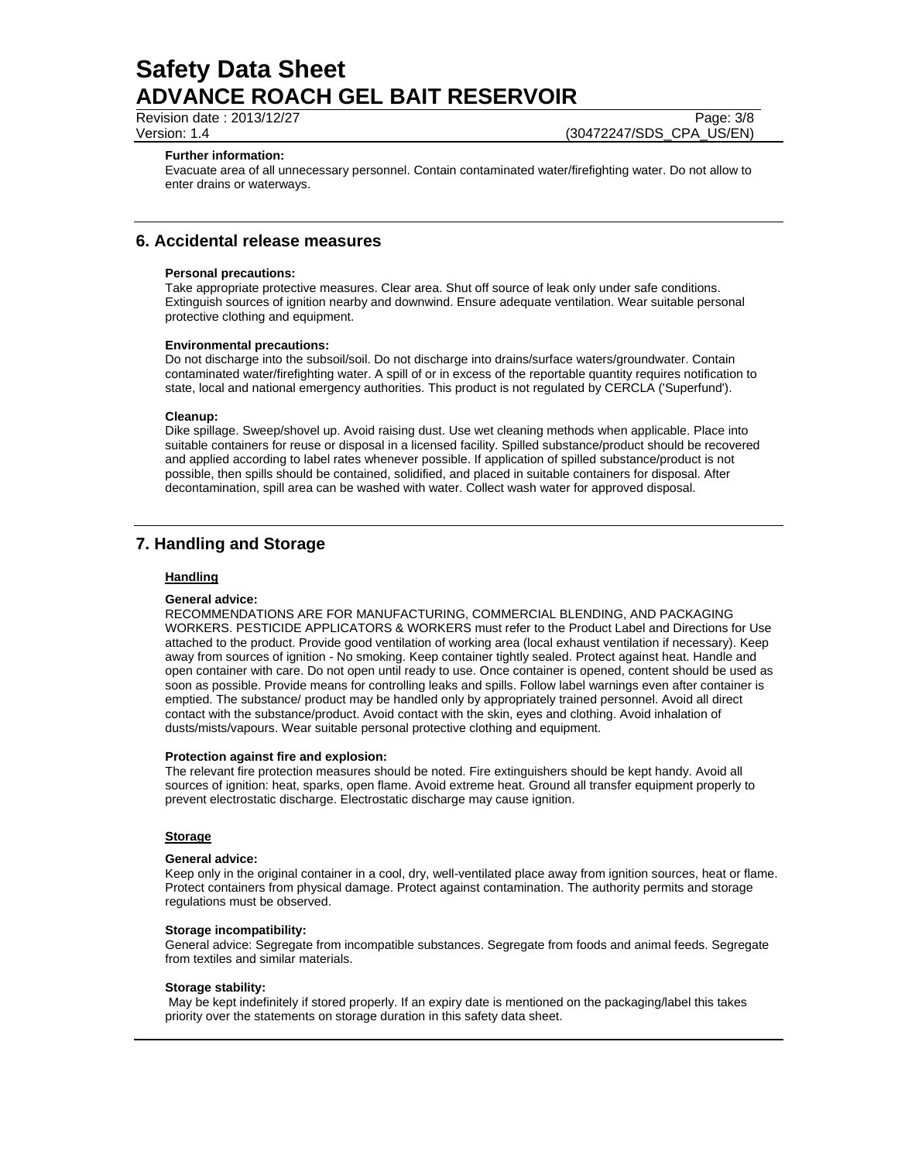Revision date : 2013/12/27 Page: 3/8

Version: 1.4 (30472247/SDS\_CPA\_US/EN)

#### **Further information:**

Evacuate area of all unnecessary personnel. Contain contaminated water/firefighting water. Do not allow to enter drains or waterways.

## **6. Accidental release measures**

#### **Personal precautions:**

Take appropriate protective measures. Clear area. Shut off source of leak only under safe conditions. Extinguish sources of ignition nearby and downwind. Ensure adequate ventilation. Wear suitable personal protective clothing and equipment.

#### **Environmental precautions:**

Do not discharge into the subsoil/soil. Do not discharge into drains/surface waters/groundwater. Contain contaminated water/firefighting water. A spill of or in excess of the reportable quantity requires notification to state, local and national emergency authorities. This product is not regulated by CERCLA ('Superfund').

### **Cleanup:**

Dike spillage. Sweep/shovel up. Avoid raising dust. Use wet cleaning methods when applicable. Place into suitable containers for reuse or disposal in a licensed facility. Spilled substance/product should be recovered and applied according to label rates whenever possible. If application of spilled substance/product is not possible, then spills should be contained, solidified, and placed in suitable containers for disposal. After decontamination, spill area can be washed with water. Collect wash water for approved disposal.

# **7. Handling and Storage**

### **Handling**

#### **General advice:**

RECOMMENDATIONS ARE FOR MANUFACTURING, COMMERCIAL BLENDING, AND PACKAGING WORKERS. PESTICIDE APPLICATORS & WORKERS must refer to the Product Label and Directions for Use attached to the product. Provide good ventilation of working area (local exhaust ventilation if necessary). Keep away from sources of ignition - No smoking. Keep container tightly sealed. Protect against heat. Handle and open container with care. Do not open until ready to use. Once container is opened, content should be used as soon as possible. Provide means for controlling leaks and spills. Follow label warnings even after container is emptied. The substance/ product may be handled only by appropriately trained personnel. Avoid all direct contact with the substance/product. Avoid contact with the skin, eyes and clothing. Avoid inhalation of dusts/mists/vapours. Wear suitable personal protective clothing and equipment.

#### **Protection against fire and explosion:**

The relevant fire protection measures should be noted. Fire extinguishers should be kept handy. Avoid all sources of ignition: heat, sparks, open flame. Avoid extreme heat. Ground all transfer equipment properly to prevent electrostatic discharge. Electrostatic discharge may cause ignition.

## **Storage**

#### **General advice:**

Keep only in the original container in a cool, dry, well-ventilated place away from ignition sources, heat or flame. Protect containers from physical damage. Protect against contamination. The authority permits and storage regulations must be observed.

## **Storage incompatibility:**

General advice: Segregate from incompatible substances. Segregate from foods and animal feeds. Segregate from textiles and similar materials.

#### **Storage stability:**

 May be kept indefinitely if stored properly. If an expiry date is mentioned on the packaging/label this takes priority over the statements on storage duration in this safety data sheet.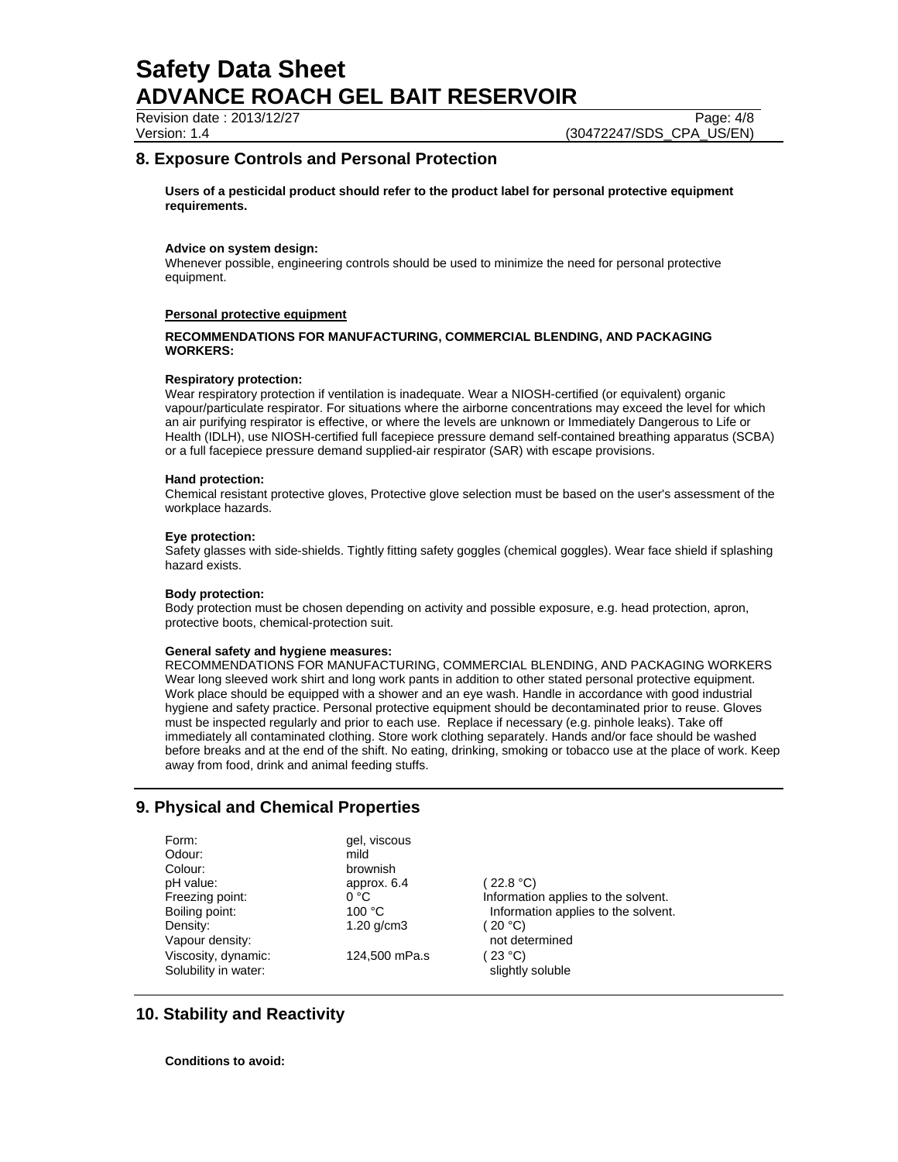Revision date : 2013/12/27 Page: 4/8

Version: 1.4 (30472247/SDS\_CPA\_US/EN)

## **8. Exposure Controls and Personal Protection**

**Users of a pesticidal product should refer to the product label for personal protective equipment requirements.** 

## **Advice on system design:**

Whenever possible, engineering controls should be used to minimize the need for personal protective equipment.

#### **Personal protective equipment**

## **RECOMMENDATIONS FOR MANUFACTURING, COMMERCIAL BLENDING, AND PACKAGING WORKERS:**

#### **Respiratory protection:**

Wear respiratory protection if ventilation is inadequate. Wear a NIOSH-certified (or equivalent) organic vapour/particulate respirator. For situations where the airborne concentrations may exceed the level for which an air purifying respirator is effective, or where the levels are unknown or Immediately Dangerous to Life or Health (IDLH), use NIOSH-certified full facepiece pressure demand self-contained breathing apparatus (SCBA) or a full facepiece pressure demand supplied-air respirator (SAR) with escape provisions.

#### **Hand protection:**

Chemical resistant protective gloves, Protective glove selection must be based on the user's assessment of the workplace hazards.

#### **Eye protection:**

Safety glasses with side-shields. Tightly fitting safety goggles (chemical goggles). Wear face shield if splashing hazard exists.

## **Body protection:**

Body protection must be chosen depending on activity and possible exposure, e.g. head protection, apron, protective boots, chemical-protection suit.

## **General safety and hygiene measures:**

RECOMMENDATIONS FOR MANUFACTURING, COMMERCIAL BLENDING, AND PACKAGING WORKERS Wear long sleeved work shirt and long work pants in addition to other stated personal protective equipment. Work place should be equipped with a shower and an eye wash. Handle in accordance with good industrial hygiene and safety practice. Personal protective equipment should be decontaminated prior to reuse. Gloves must be inspected regularly and prior to each use. Replace if necessary (e.g. pinhole leaks). Take off immediately all contaminated clothing. Store work clothing separately. Hands and/or face should be washed before breaks and at the end of the shift. No eating, drinking, smoking or tobacco use at the place of work. Keep away from food, drink and animal feeding stuffs.

# **9. Physical and Chemical Properties**

| Form:                | gel, viscous    |                                     |
|----------------------|-----------------|-------------------------------------|
| Odour:               | mild            |                                     |
| Colour:              | brownish        |                                     |
| pH value:            | approx. 6.4     | (22.8 °C)                           |
| Freezing point:      | 0 °C            | Information applies to the solvent. |
| Boiling point:       | 100 °C          | Information applies to the solvent. |
| Density:             | $1.20$ g/cm $3$ | (20 °C)                             |
| Vapour density:      |                 | not determined                      |
| Viscosity, dynamic:  | 124,500 mPa.s   | $23^{\circ}$ C)                     |
| Solubility in water: |                 | slightly soluble                    |

# **10. Stability and Reactivity**

**Conditions to avoid:**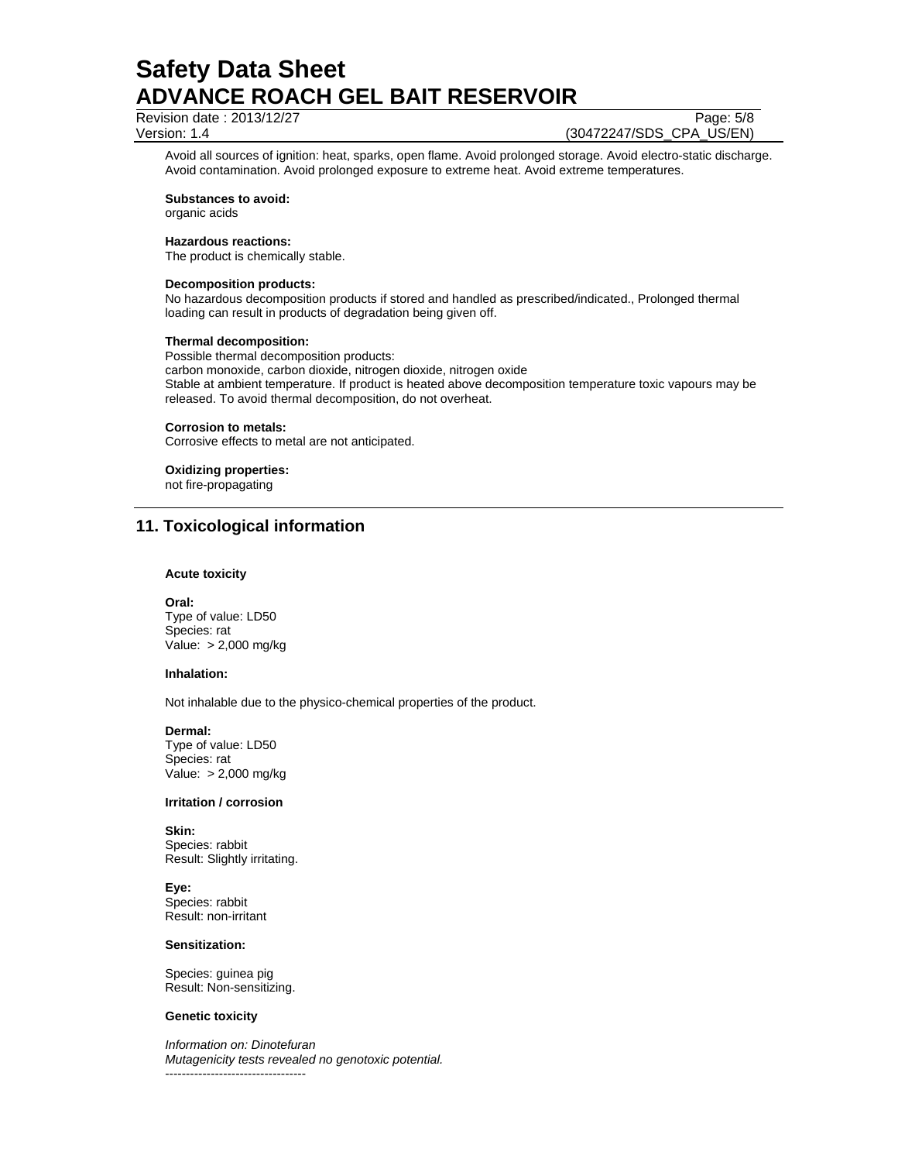Revision date : 2013/12/27 Page: 5/8

Version: 1.4 (30472247/SDS\_CPA\_US/EN)

Avoid all sources of ignition: heat, sparks, open flame. Avoid prolonged storage. Avoid electro-static discharge. Avoid contamination. Avoid prolonged exposure to extreme heat. Avoid extreme temperatures.

**Substances to avoid:**

organic acids

#### **Hazardous reactions:**

The product is chemically stable.

### **Decomposition products:**

No hazardous decomposition products if stored and handled as prescribed/indicated., Prolonged thermal loading can result in products of degradation being given off.

#### **Thermal decomposition:**

Possible thermal decomposition products: carbon monoxide, carbon dioxide, nitrogen dioxide, nitrogen oxide Stable at ambient temperature. If product is heated above decomposition temperature toxic vapours may be released. To avoid thermal decomposition, do not overheat.

#### **Corrosion to metals:**

Corrosive effects to metal are not anticipated.

## **Oxidizing properties:**

not fire-propagating

# **11. Toxicological information**

#### **Acute toxicity**

**Oral:** Type of value: LD50 Species: rat Value: > 2,000 mg/kg

## **Inhalation:**

Not inhalable due to the physico-chemical properties of the product.

#### **Dermal:**

Type of value: LD50 Species: rat Value: > 2,000 mg/kg

## **Irritation / corrosion**

**Skin:**  Species: rabbit Result: Slightly irritating.

**Eye:** Species: rabbit Result: non-irritant

#### **Sensitization:**

Species: guinea pig Result: Non-sensitizing.

#### **Genetic toxicity**

*Information on: Dinotefuran Mutagenicity tests revealed no genotoxic potential.*  ----------------------------------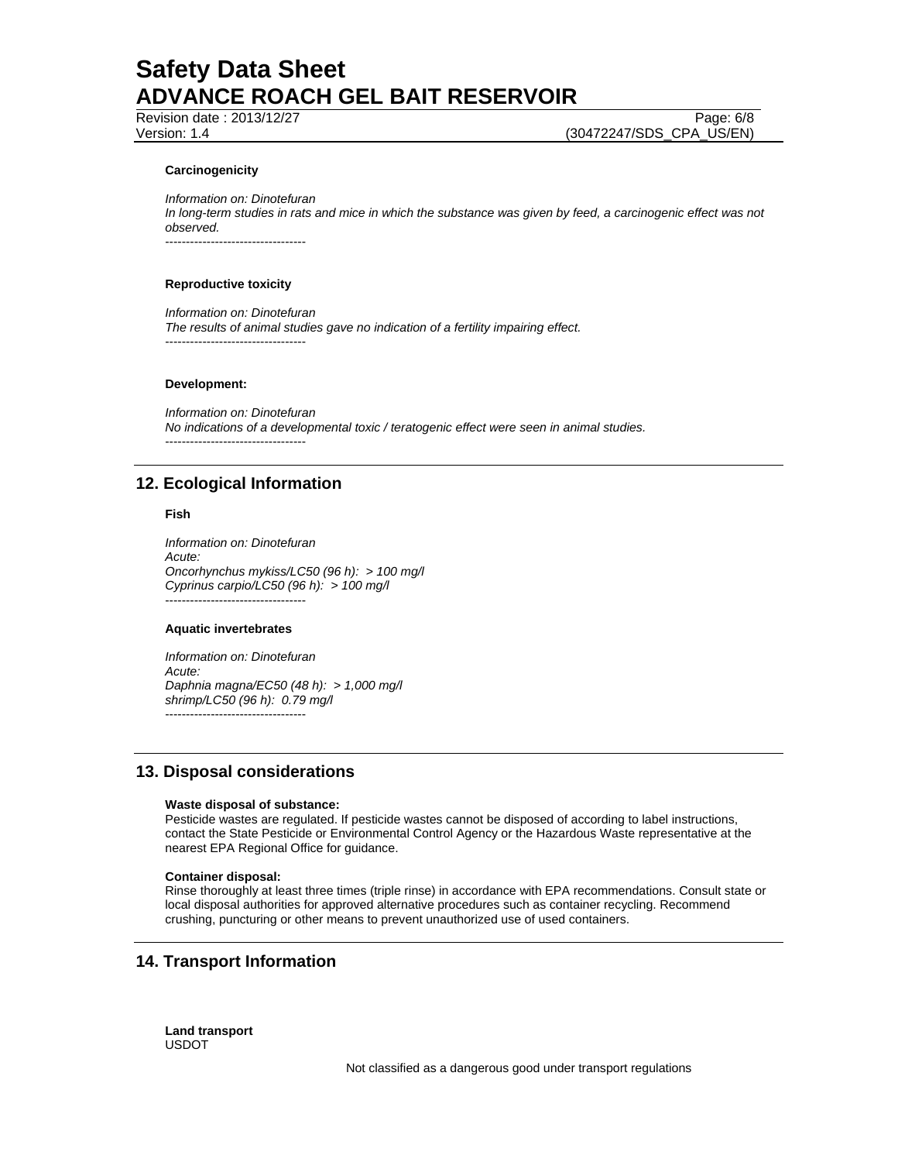Revision date : 2013/12/27 Page: 6/8

Version: 1.4 (30472247/SDS\_CPA\_US/EN)

## **Carcinogenicity**

*Information on: Dinotefuran In long-term studies in rats and mice in which the substance was given by feed, a carcinogenic effect was not observed.* 

----------------------------------

#### **Reproductive toxicity**

*Information on: Dinotefuran The results of animal studies gave no indication of a fertility impairing effect.*  ----------------------------------

#### **Development:**

*Information on: Dinotefuran No indications of a developmental toxic / teratogenic effect were seen in animal studies.*  ----------------------------------

# **12. Ecological Information**

#### **Fish**

*Information on: Dinotefuran Acute: Oncorhynchus mykiss/LC50 (96 h): > 100 mg/l Cyprinus carpio/LC50 (96 h): > 100 mg/l*  ----------------------------------

## **Aquatic invertebrates**

*Information on: Dinotefuran Acute: Daphnia magna/EC50 (48 h): > 1,000 mg/l shrimp/LC50 (96 h): 0.79 mg/l*  ----------------------------------

# **13. Disposal considerations**

## **Waste disposal of substance:**

Pesticide wastes are regulated. If pesticide wastes cannot be disposed of according to label instructions, contact the State Pesticide or Environmental Control Agency or the Hazardous Waste representative at the nearest EPA Regional Office for guidance.

#### **Container disposal:**

Rinse thoroughly at least three times (triple rinse) in accordance with EPA recommendations. Consult state or local disposal authorities for approved alternative procedures such as container recycling. Recommend crushing, puncturing or other means to prevent unauthorized use of used containers.

# **14. Transport Information**

**Land transport**  USDOT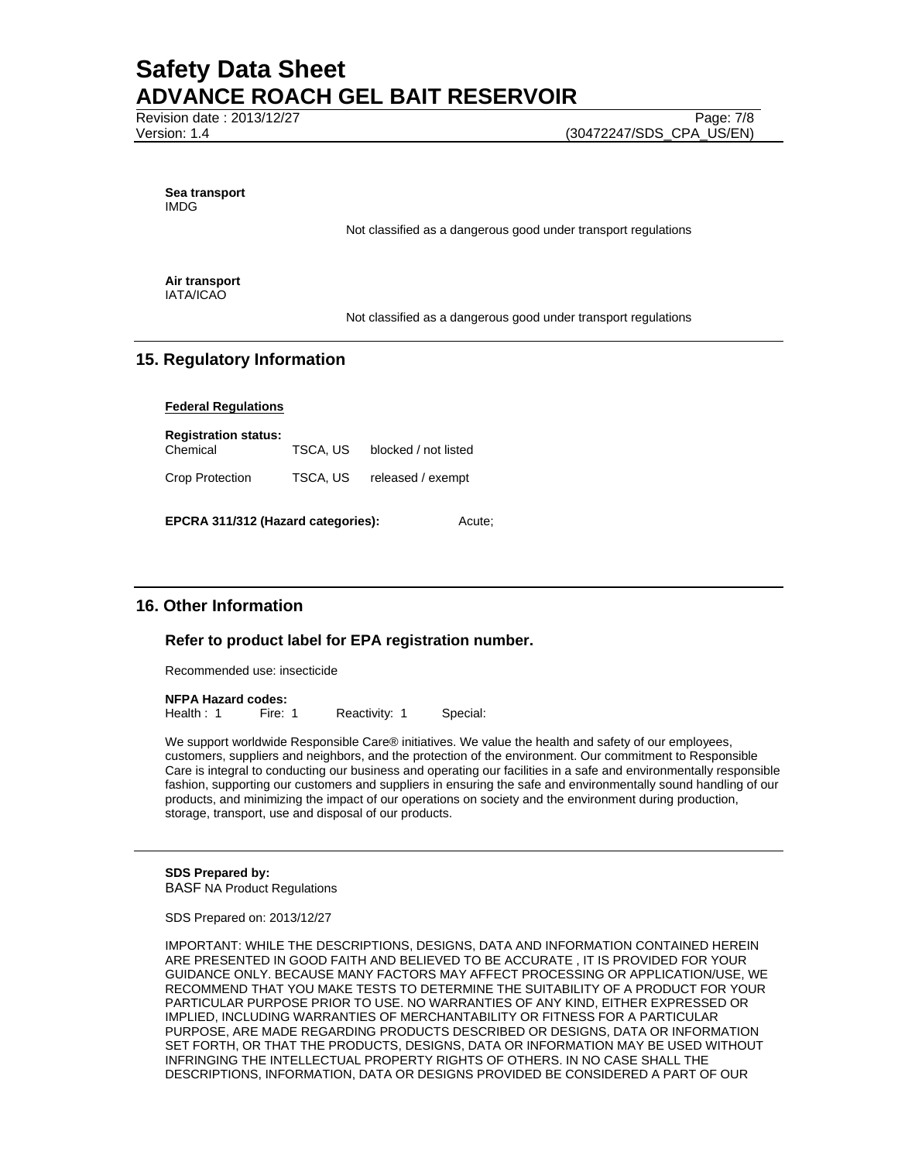Revision date : 2013/12/27 Page: 7/8

**Sea transport**  IMDG

Not classified as a dangerous good under transport regulations

**Air transport**  IATA/ICAO

Not classified as a dangerous good under transport regulations

# **15. Regulatory Information**

**Federal Regulations**

**Registration status:**  Chemical TSCA, US blocked / not listed Crop Protection TSCA, US released / exempt

**EPCRA 311/312 (Hazard categories):** Acute;

# **16. Other Information**

## **Refer to product label for EPA registration number.**

Recommended use: insecticide

**NFPA Hazard codes:**

Health : 1 Fire: 1 Reactivity: 1 Special:

We support worldwide Responsible Care® initiatives. We value the health and safety of our employees, customers, suppliers and neighbors, and the protection of the environment. Our commitment to Responsible Care is integral to conducting our business and operating our facilities in a safe and environmentally responsible fashion, supporting our customers and suppliers in ensuring the safe and environmentally sound handling of our products, and minimizing the impact of our operations on society and the environment during production, storage, transport, use and disposal of our products.

**SDS Prepared by:**  BASF NA Product Regulations

SDS Prepared on: 2013/12/27

IMPORTANT: WHILE THE DESCRIPTIONS, DESIGNS, DATA AND INFORMATION CONTAINED HEREIN ARE PRESENTED IN GOOD FAITH AND BELIEVED TO BE ACCURATE , IT IS PROVIDED FOR YOUR GUIDANCE ONLY. BECAUSE MANY FACTORS MAY AFFECT PROCESSING OR APPLICATION/USE, WE RECOMMEND THAT YOU MAKE TESTS TO DETERMINE THE SUITABILITY OF A PRODUCT FOR YOUR PARTICULAR PURPOSE PRIOR TO USE. NO WARRANTIES OF ANY KIND, EITHER EXPRESSED OR IMPLIED, INCLUDING WARRANTIES OF MERCHANTABILITY OR FITNESS FOR A PARTICULAR PURPOSE, ARE MADE REGARDING PRODUCTS DESCRIBED OR DESIGNS, DATA OR INFORMATION SET FORTH, OR THAT THE PRODUCTS, DESIGNS, DATA OR INFORMATION MAY BE USED WITHOUT INFRINGING THE INTELLECTUAL PROPERTY RIGHTS OF OTHERS. IN NO CASE SHALL THE DESCRIPTIONS, INFORMATION, DATA OR DESIGNS PROVIDED BE CONSIDERED A PART OF OUR